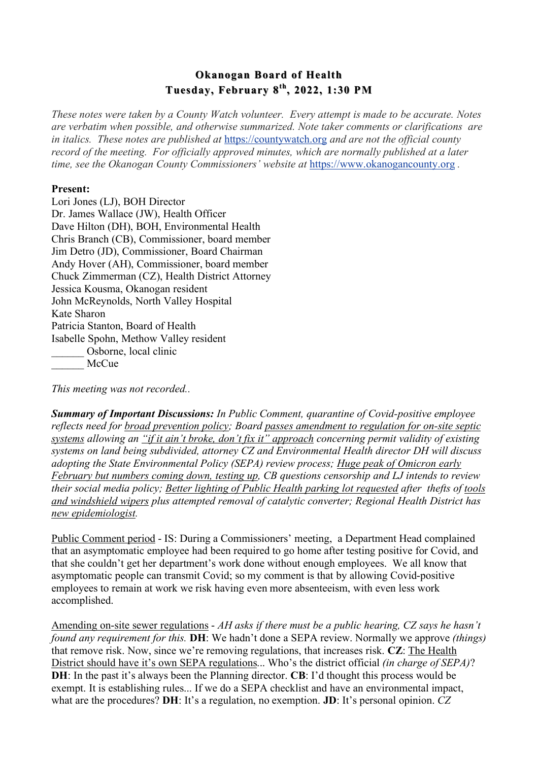## **Okanogan Board of Health Tuesday, February 8 Tuesday, February 8th, 2022, 1:30 PM**

*These notes were taken by a County Watch volunteer. Every attempt is made to be accurate. Notes are verbatim when possible, and otherwise summarized. Note taker comments or clarifications are in italics. These notes are published at* https://countywatch.org *and are not the official county record of the meeting. For officially approved minutes, which are normally published at a later time, see the Okanogan County Commissioners' website at https://www.okanogancounty.org.* 

## **Present:**

Lori Jones (LJ), BOH Director Dr. James Wallace (JW), Health Officer Dave Hilton (DH), BOH, Environmental Health Chris Branch (CB), Commissioner, board member Jim Detro (JD), Commissioner, Board Chairman Andy Hover (AH), Commissioner, board member Chuck Zimmerman (CZ), Health District Attorney Jessica Kousma, Okanogan resident John McReynolds, North Valley Hospital Kate Sharon Patricia Stanton, Board of Health Isabelle Spohn, Methow Valley resident Osborne, local clinic McCue

*This meeting was not recorded..*

*Summary of Important Discussions: In Public Comment, quarantine of Covid-positive employee reflects need for broad prevention policy; Board passes amendment to regulation for on-site septic systems allowing an "if it ain't broke, don't fix it" approach concerning permit validity of existing systems on land being subdivided, attorney CZ and Environmental Health director DH will discuss adopting the State Environmental Policy (SEPA) review process; Huge peak of Omicron early February but numbers coming down, testing up, CB questions censorship and LJ intends to review their social media policy; Better lighting of Public Health parking lot requested after thefts of tools and windshield wipers plus attempted removal of catalytic converter; Regional Health District has new epidemiologist.*

Public Comment period - IS: During a Commissioners' meeting, a Department Head complained that an asymptomatic employee had been required to go home after testing positive for Covid, and that she couldn't get her department's work done without enough employees. We all know that asymptomatic people can transmit Covid; so my comment is that by allowing Covid-positive employees to remain at work we risk having even more absenteeism, with even less work accomplished.

Amending on-site sewer regulations - *AH asks if there must be a public hearing, CZ says he hasn't found any requirement for this.* **DH**: We hadn't done a SEPA review. Normally we approve *(things)*  that remove risk. Now, since we're removing regulations, that increases risk. **CZ**: The Health District should have it's own SEPA regulations... Who's the district official *(in charge of SEPA)*? **DH**: In the past it's always been the Planning director. **CB**: I'd thought this process would be exempt. It is establishing rules... If we do a SEPA checklist and have an environmental impact, what are the procedures? **DH**: It's a regulation, no exemption. **JD**: It's personal opinion. *CZ*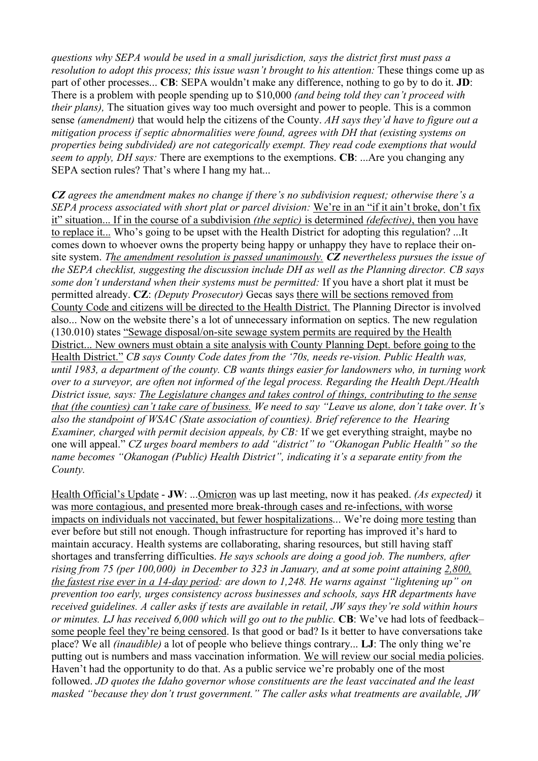*questions why SEPA would be used in a small jurisdiction, says the district first must pass a resolution to adopt this process; this issue wasn't brought to his attention: These things come up as* part of other processes... **CB**: SEPA wouldn't make any difference, nothing to go by to do it. **JD**: There is a problem with people spending up to \$10,000 *(and being told they can't proceed with their plans*). The situation gives way too much oversight and power to people. This is a common sense *(amendment)* that would help the citizens of the County. *AH says they'd have to figure out a mitigation process if septic abnormalities were found, agrees with DH that (existing systems on properties being subdivided) are not categorically exempt. They read code exemptions that would seem to apply, DH says:* There are exemptions to the exemptions. **CB**: ...Are you changing any SEPA section rules? That's where I hang my hat...

*CZ agrees the amendment makes no change if there's no subdivision request; otherwise there's a SEPA process associated with short plat or parcel division:* We're in an "if it ain't broke, don't fix it" situation... If in the course of a subdivision *(the septic)* is determined *(defective)*, then you have to replace it... Who's going to be upset with the Health District for adopting this regulation? ...It comes down to whoever owns the property being happy or unhappy they have to replace their onsite system. *The amendment resolution is passed unanimously. CZ nevertheless pursues the issue of the SEPA checklist, suggesting the discussion include DH as well as the Planning director. CB says some don't understand when their systems must be permitted:* If you have a short plat it must be permitted already. **CZ**: *(Deputy Prosecutor)* Gecas says there will be sections removed from County Code and citizens will be directed to the Health District. The Planning Director is involved also... Now on the website there's a lot of unnecessary information on septics. The new regulation (130.010) states "Sewage disposal/on-site sewage system permits are required by the Health District... New owners must obtain a site analysis with County Planning Dept. before going to the Health District." *CB says County Code dates from the '70s, needs re-vision. Public Health was, until 1983, a department of the county. CB wants things easier for landowners who, in turning work over to a surveyor, are often not informed of the legal process. Regarding the Health Dept./Health District issue, says: The Legislature changes and takes control of things, contributing to the sense that (the counties) can't take care of business. We need to say "Leave us alone, don't take over. It's also the standpoint of WSAC (State association of counties). Brief reference to the Hearing Examiner, charged with permit decision appeals, by CB: If we get everything straight, maybe no* one will appeal." *CZ urges board members to add "district" to "Okanogan Public Health" so the name becomes "Okanogan (Public) Health District", indicating it's a separate entity from the County.*

Health Official's Update - **JW**: ...Omicron was up last meeting, now it has peaked. *(As expected)* it was more contagious, and presented more break-through cases and re-infections, with worse impacts on individuals not vaccinated, but fewer hospitalizations... We're doing more testing than ever before but still not enough. Though infrastructure for reporting has improved it's hard to maintain accuracy. Health systems are collaborating, sharing resources, but still having staff shortages and transferring difficulties. *He says schools are doing a good job. The numbers, after rising from 75 (per 100,000) in December to 323 in January, and at some point attaining 2,800, the fastest rise ever in a 14-day period: are down to 1,248. He warns against "lightening up" on prevention too early, urges consistency across businesses and schools, says HR departments have received guidelines. A caller asks if tests are available in retail, JW says they're sold within hours or minutes. LJ has received 6,000 which will go out to the public.* **CB**: We've had lots of feedback– some people feel they're being censored. Is that good or bad? Is it better to have conversations take place? We all *(inaudible)* a lot of people who believe things contrary... **LJ**: The only thing we're putting out is numbers and mass vaccination information. We will review our social media policies. Haven't had the opportunity to do that. As a public service we're probably one of the most followed. *JD quotes the Idaho governor whose constituents are the least vaccinated and the least masked "because they don't trust government." The caller asks what treatments are available, JW*